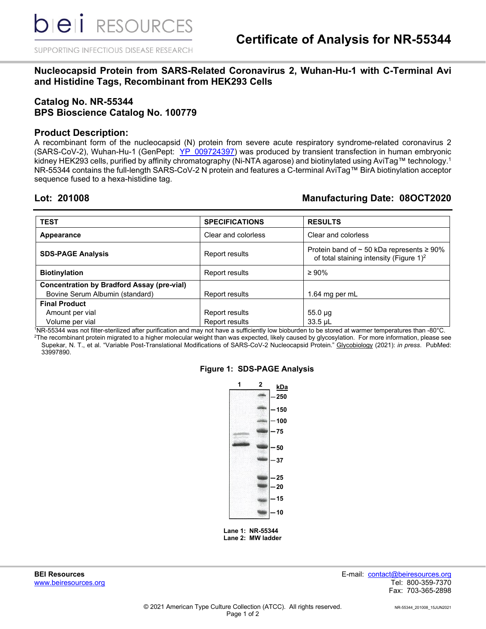SUPPORTING INFECTIOUS DISEASE RESEARCH

# **Nucleocapsid Protein from SARS-Related Coronavirus 2, Wuhan-Hu-1 with C-Terminal Avi and Histidine Tags, Recombinant from HEK293 Cells**

# **Catalog No. NR-55344 BPS Bioscience Catalog No. 100779**

## **Product Description:**

A recombinant form of the nucleocapsid (N) protein from severe acute respiratory syndrome-related coronavirus 2 (SARS-CoV-2), Wuhan-Hu-1 (GenPept: [YP\\_009724397\)](https://www.ncbi.nlm.nih.gov/protein/YP_009724397) was produced by transient transfection in human embryonic kidney HEK293 cells, purified by affinity chromatography (Ni-NTA agarose) and biotinylated using AviTag™ technology. 1 NR-55344 contains the full-length SARS-CoV-2 N protein and features a C-terminal AviTag™ BirA biotinylation acceptor sequence fused to a hexa-histidine tag.

# **Lot: 201008 Manufacturing Date: 08OCT2020**

| <b>TEST</b>                                       | <b>SPECIFICATIONS</b> | <b>RESULTS</b>                                                                                              |
|---------------------------------------------------|-----------------------|-------------------------------------------------------------------------------------------------------------|
| Appearance                                        | Clear and colorless   | Clear and colorless                                                                                         |
| <b>SDS-PAGE Analysis</b>                          | Report results        | Protein band of $\sim$ 50 kDa represents $\geq 90\%$<br>of total staining intensity (Figure 1) <sup>2</sup> |
| <b>Biotinylation</b>                              | Report results        | $\geq 90\%$                                                                                                 |
| <b>Concentration by Bradford Assay (pre-vial)</b> |                       |                                                                                                             |
| Bovine Serum Albumin (standard)                   | Report results        | 1.64 mg per mL                                                                                              |
| <b>Final Product</b>                              |                       |                                                                                                             |
| Amount per vial                                   | Report results        | $55.0 \mu$ g                                                                                                |
| Volume per vial                                   | Report results        | $33.5$ µL                                                                                                   |

1 NR-55344 was not filter-sterilized after purification and may not have a sufficiently low bioburden to be stored at warmer temperatures than -80°C. 2 The recombinant protein migrated to a higher molecular weight than was expected, likely caused by glycosylation. For more information, please see Supekar, N. T., et al. "Variable Post-Translational Modifications of SARS-CoV-2 Nucleocapsid Protein." Glycobiology (2021): *in press*. PubMed: 33997890.

# **1 2 kDa 250 150 100 75 50 37 25 20 15 10**

#### **Figure 1: SDS-PAGE Analysis**

**Lane 1: NR-55344 Lane 2: MW ladder**